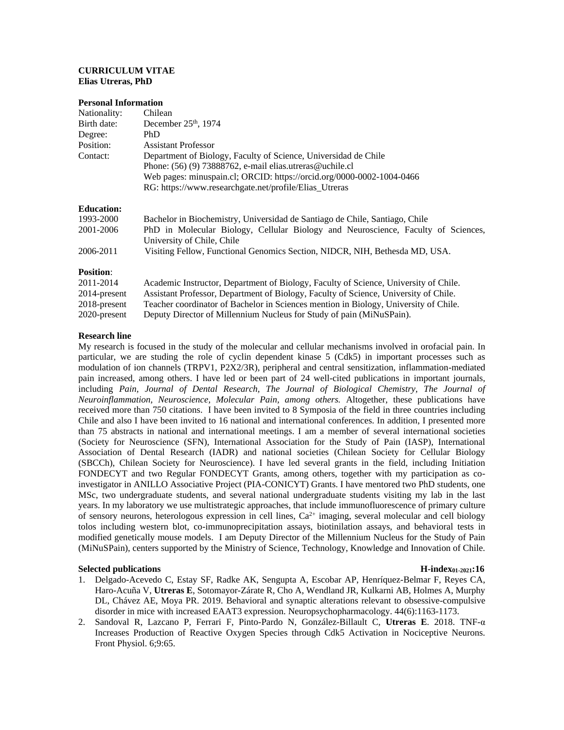# **CURRICULUM VITAE Elias Utreras, PhD**

### **Personal Information**

| Nationality:      | Chilean                                                                                                         |
|-------------------|-----------------------------------------------------------------------------------------------------------------|
| Birth date:       | December 25 <sup>th</sup> , 1974                                                                                |
| Degree:           | <b>PhD</b>                                                                                                      |
| Position:         | Assistant Professor                                                                                             |
| Contact:          | Department of Biology, Faculty of Science, Universidad de Chile                                                 |
|                   | Phone: $(56)$ (9) 73888762, e-mail elias.utreras@uchile.cl                                                      |
|                   | Web pages: minuspain.cl; ORCID: https://orcid.org/0000-0002-1004-0466                                           |
|                   | RG: https://www.researchgate.net/profile/Elias_Utreras                                                          |
| <b>Education:</b> |                                                                                                                 |
| 1993-2000         | Bachelor in Biochemistry, Universidad de Santiago de Chile, Santiago, Chile                                     |
| 2001-2006         | PhD in Molecular Biology, Cellular Biology and Neuroscience, Faculty of Sciences,<br>University of Chile, Chile |
| 2006-2011         | Visiting Fellow, Functional Genomics Section, NIDCR, NIH, Bethesda MD, USA.                                     |
| <b>Position:</b>  |                                                                                                                 |
| 2011-2014         | Academic Instructor, Department of Biology, Faculty of Science, University of Chile.                            |
| 2014-present      | Assistant Professor, Department of Biology, Faculty of Science, University of Chile.                            |
| 2018-present      | Teacher coordinator of Bachelor in Sciences mention in Biology, University of Chile.                            |

2020-present Deputy Director of Millennium Nucleus for Study of pain (MiNuSPain).

# **Research line**

My research is focused in the study of the molecular and cellular mechanisms involved in orofacial pain. In particular, we are studing the role of cyclin dependent kinase 5 (Cdk5) in important processes such as modulation of ion channels (TRPV1, P2X2/3R), peripheral and central sensitization, inflammation-mediated pain increased, among others. I have led or been part of 24 well-cited publications in important journals, including Pain, Journal of Dental Research, The Journal of Biological Chemistry, The Journal of *Neuroinflammation, Neuroscience, Molecular Pain, among others.* Altogether, these publications have received more than 750 citations. I have been invited to 8 Symposia of the field in three countries including Chile and also I have been invited to 16 national and international conferences. In addition, I presented more than 75 abstracts in national and international meetings. I am a member of several international societies (Society for Neuroscience (SFN), International Association for the Study of Pain (IASP), International Association of Dental Research (IADR) and national societies (Chilean Society for Cellular Biology (SBCCh), Chilean Society for Neuroscience). I have led several grants in the field, including Initiation FONDECYT and two Regular FONDECYT Grants, among others, together with my participation as coinvestigator in ANILLO Associative Project (PIA-CONICYT) Grants. I have mentored two PhD students, one MSc, two undergraduate students, and several national undergraduate students visiting my lab in the last years. In my laboratory we use multistrategic approaches, that include immunofluorescence of primary culture of sensory neurons, heterologous expression in cell lines, Ca<sup>2+</sup> imaging, several molecular and cell biology tolos including western blot, co-immunoprecipitation assays, biotinilation assays, and behavioral tests in modified genetically mouse models. I am Deputy Director of the Millennium Nucleus for the Study of Pain (MiNuSPain), centers supported by the Ministry of Science, Technology, Knowledge and Innovation of Chile.

## **Selected publications H-index01-2021:16**

- 1. [Delgado-Acevedo C,](https://www.ncbi.nlm.nih.gov/pubmed/?term=Delgado-Acevedo%20C%5BAuthor%5D&cauthor=true&cauthor_uid=30622300) [Estay SF,](https://www.ncbi.nlm.nih.gov/pubmed/?term=Estay%20SF%5BAuthor%5D&cauthor=true&cauthor_uid=30622300) [Radke AK,](https://www.ncbi.nlm.nih.gov/pubmed/?term=Radke%20AK%5BAuthor%5D&cauthor=true&cauthor_uid=30622300) [Sengupta A,](https://www.ncbi.nlm.nih.gov/pubmed/?term=Sengupta%20A%5BAuthor%5D&cauthor=true&cauthor_uid=30622300) [Escobar AP,](https://www.ncbi.nlm.nih.gov/pubmed/?term=Escobar%20AP%5BAuthor%5D&cauthor=true&cauthor_uid=30622300) [Henríquez-Belmar F,](https://www.ncbi.nlm.nih.gov/pubmed/?term=Henr%C3%ADquez-Belmar%20F%5BAuthor%5D&cauthor=true&cauthor_uid=30622300) [Reyes CA,](https://www.ncbi.nlm.nih.gov/pubmed/?term=Reyes%20CA%5BAuthor%5D&cauthor=true&cauthor_uid=30622300) [Haro-Acuña V,](https://www.ncbi.nlm.nih.gov/pubmed/?term=Haro-Acu%C3%B1a%20V%5BAuthor%5D&cauthor=true&cauthor_uid=30622300) **[Utreras E](https://www.ncbi.nlm.nih.gov/pubmed/?term=Utreras%20E%5BAuthor%5D&cauthor=true&cauthor_uid=30622300)**, [Sotomayor-Zárate R,](https://www.ncbi.nlm.nih.gov/pubmed/?term=Sotomayor-Z%C3%A1rate%20R%5BAuthor%5D&cauthor=true&cauthor_uid=30622300) [Cho A,](https://www.ncbi.nlm.nih.gov/pubmed/?term=Cho%20A%5BAuthor%5D&cauthor=true&cauthor_uid=30622300) [Wendland JR,](https://www.ncbi.nlm.nih.gov/pubmed/?term=Wendland%20JR%5BAuthor%5D&cauthor=true&cauthor_uid=30622300) [Kulkarni AB,](https://www.ncbi.nlm.nih.gov/pubmed/?term=Kulkarni%20AB%5BAuthor%5D&cauthor=true&cauthor_uid=30622300) [Holmes A,](https://www.ncbi.nlm.nih.gov/pubmed/?term=Holmes%20A%5BAuthor%5D&cauthor=true&cauthor_uid=30622300) [Murphy](https://www.ncbi.nlm.nih.gov/pubmed/?term=Murphy%20DL%5BAuthor%5D&cauthor=true&cauthor_uid=30622300)  [DL,](https://www.ncbi.nlm.nih.gov/pubmed/?term=Murphy%20DL%5BAuthor%5D&cauthor=true&cauthor_uid=30622300) [Chávez AE,](https://www.ncbi.nlm.nih.gov/pubmed/?term=Ch%C3%A1vez%20AE%5BAuthor%5D&cauthor=true&cauthor_uid=30622300) [Moya PR.](https://www.ncbi.nlm.nih.gov/pubmed/?term=Moya%20PR%5BAuthor%5D&cauthor=true&cauthor_uid=30622300) 2019. Behavioral and synaptic alterations relevant to obsessive-compulsive disorder in mice with increased EAAT3 expression. [Neuropsychopharmacology.](https://www.ncbi.nlm.nih.gov/pubmed/30622300) 44(6):1163-1173.
- 2. Sandoval R, Lazcano P, Ferrari F, Pinto-Pardo N, González-Billault C, **Utreras E**. 2018. TNF-α Increases Production of Reactive Oxygen Species through Cdk5 Activation in Nociceptive Neurons. Front Physiol. 6;9:65.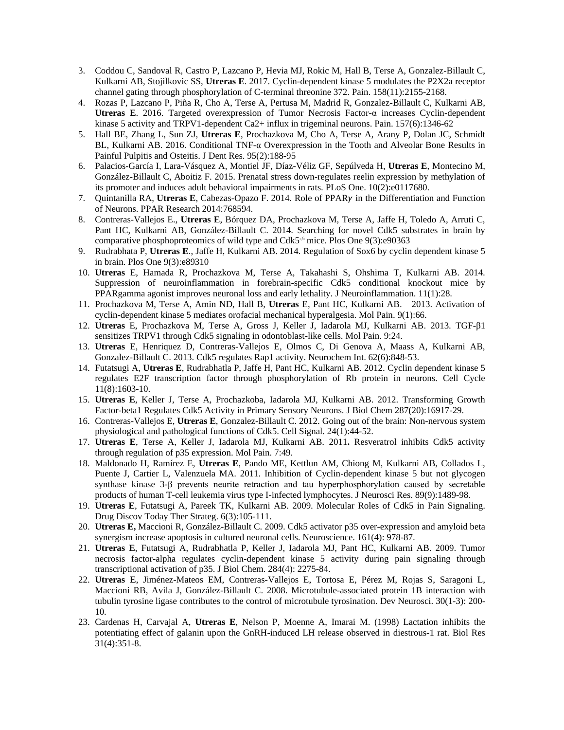- 3. Coddou C, Sandoval R, Castro P, Lazcano P, Hevia MJ, Rokic M, Hall B, Terse A, Gonzalez-Billault C, Kulkarni AB, Stojilkovic SS, **Utreras E**. 2017. Cyclin-dependent kinase 5 modulates the P2X2a receptor channel gating through phosphorylation of C-terminal threonine 372. Pain. 158(11):2155-2168.
- 4. Rozas P, Lazcano P, Piña R, Cho A, Terse A, Pertusa M, Madrid R, Gonzalez-Billault C, Kulkarni AB, **Utreras E**. 2016. [Targeted overexpression of Tumor Necrosis Factor-α](http://www.ncbi.nlm.nih.gov/pubmed/26894912) increases Cyclin-dependent [kinase 5 activity and TRPV1-dependent Ca2+ influx in trigeminal neurons.](http://www.ncbi.nlm.nih.gov/pubmed/26894912) Pain. 157(6):1346-62
- 5. Hall BE, Zhang L, Sun ZJ, **Utreras E**, Prochazkova M, Cho A, Terse A, Arany P, Dolan JC, Schmidt BL, Kulkarni AB. 2016. Conditional TNF-α [Overexpression in the Tooth and Alveolar Bone Results in](http://www.ncbi.nlm.nih.gov/pubmed/26503912)  [Painful Pulpitis and Osteitis.](http://www.ncbi.nlm.nih.gov/pubmed/26503912) J Dent Res. 95(2):188-95
- 6. Palacios-García I, Lara-Vásquez A, Montiel JF, Díaz-Véliz GF, Sepúlveda H, **Utreras E**, Montecino M, González-Billault C, Aboitiz F. 2015. Prenatal stress down-regulates reelin expression by methylation of its promoter and induces adult behavioral impairments in rats. PLoS One. 10(2):e0117680.
- 7. Quintanilla RA, Utreras E, Cabezas-Opazo F. 2014. Role of PPARy in the Differentiation and Function of Neurons. PPAR Research 2014:768594.
- 8. Contreras-Vallejos E., **Utreras E**, Bórquez DA, Prochazkova M, Terse A, Jaffe H, Toledo A, Arruti C, Pant HC, Kulkarni AB, González-Billault C. 2014. Searching for novel Cdk5 substrates in brain by comparative phosphoproteomics of wild type and Cdk5-/- mice. Plos One 9(3):e90363
- 9. Rudrabhata P, **Utreras E**., Jaffe H, Kulkarni AB. 2014. Regulation of Sox6 by cyclin dependent kinase 5 in brain. Plos One 9(3):e89310
- 10. **Utreras** E, Hamada R, Prochazkova M, Terse A, Takahashi S, Ohshima T, Kulkarni AB. 2014. Suppression of neuroinflammation in forebrain-specific Cdk5 conditional knockout mice by PPARgamma agonist improves neuronal loss and early lethality. J Neuroinflammation. 11(1):28.
- 11. Prochazkova M, Terse A, Amin ND, Hall B, **Utreras** E, Pant HC, Kulkarni AB. 2013. Activation of cyclin-dependent kinase 5 mediates orofacial mechanical hyperalgesia. Mol Pain. 9(1):66.
- 12. **Utreras** E, Prochazkova M, Terse A, Gross J, Keller J, Iadarola MJ, Kulkarni AB. 2013. TGF-β1 sensitizes TRPV1 through Cdk5 signaling in odontoblast-like cells. Mol Pain. 9:24.
- 13. **Utreras** E, Henriquez D, Contreras-Vallejos E, Olmos C, Di Genova A, Maass A, Kulkarni AB, Gonzalez-Billault C. 2013. Cdk5 regulates Rap1 activity. Neurochem Int. 62(6):848-53.
- 14. Futatsugi A, **Utreras E**, Rudrabhatla P, Jaffe H, Pant HC, Kulkarni AB. 2012. Cyclin dependent kinase 5 regulates E2F transcription factor through phosphorylation of Rb protein in neurons. Cell Cycle 11(8):1603-10.
- 15. **Utreras E**, Keller J, Terse A, Prochazkoba, Iadarola MJ, Kulkarni AB. 2012. Transforming Growth Factor-beta1 Regulates Cdk5 Activity in Primary Sensory Neurons. J Biol Chem 287(20):16917-29.
- 16. Contreras-Vallejos E, **Utreras E**, Gonzalez-Billault C. 2012. [Going out of the brain: Non-nervous system](http://www.ncbi.nlm.nih.gov/pubmed/21924349)  [physiological and pathological functions of Cdk5.](http://www.ncbi.nlm.nih.gov/pubmed/21924349) Cell Signal. 24(1):44-52.
- 17. **Utreras E**, Terse A, Keller J, Iadarola MJ, Kulkarni AB. 2011**.** Resveratrol inhibits Cdk5 activity through regulation of p35 expression. Mol Pain. 7:49.
- 18. Maldonado H, Ramírez E, **Utreras E**, Pando ME, Kettlun AM, Chiong M, Kulkarni AB, Collados L, Puente J, Cartier L, Valenzuela MA. 2011. Inhibition of Cyclin-dependent kinase 5 but not glycogen synthase kinase 3-β prevents neurite retraction and tau hyperphosphorylation caused by secretable products of human T-cell leukemia virus type I-infected lymphocytes. J Neurosci Res. 89(9):1489-98.
- 19. **Utreras E**, Futatsugi A, Pareek TK, Kulkarni AB. 2009. Molecular Roles of Cdk5 in Pain Signaling. [Drug Discov Today Ther Strateg.](http://www.sciencedirect.com/science/journal/17406773) 6(3):105-111.
- 20. **Utreras E,** Maccioni R, González-Billault C. 2009. Cdk5 activator p35 over-expression and amyloid beta synergism increase apoptosis in cultured neuronal cells. Neuroscience. 161(4): 978-87.
- 21. **Utreras E**, Futatsugi A, Rudrabhatla P, Keller J, Iadarola MJ, Pant HC, Kulkarni AB. 2009. Tumor necrosis factor-alpha regulates cyclin-dependent kinase 5 activity during pain signaling through transcriptional activation of p35. J Biol Chem. 284(4): 2275-84.
- 22. **[Utreras E](http://www.ncbi.nlm.nih.gov/sites/entrez?Db=pubmed&Cmd=Search&Term=%22Utreras%20E%22%5BAuthor%5D&itool=EntrezSystem2.PEntrez.Pubmed.Pubmed_ResultsPanel.Pubmed_RVAbstractPlusDrugs1)**, [Jiménez-Mateos EM,](http://www.ncbi.nlm.nih.gov/sites/entrez?Db=pubmed&Cmd=Search&Term=%22Jim%C3%A9nez-Mateos%20EM%22%5BAuthor%5D&itool=EntrezSystem2.PEntrez.Pubmed.Pubmed_ResultsPanel.Pubmed_RVAbstractPlusDrugs1) [Contreras-Vallejos E,](http://www.ncbi.nlm.nih.gov/sites/entrez?Db=pubmed&Cmd=Search&Term=%22Contreras-Vallejos%20E%22%5BAuthor%5D&itool=EntrezSystem2.PEntrez.Pubmed.Pubmed_ResultsPanel.Pubmed_RVAbstractPlusDrugs1) [Tortosa E,](http://www.ncbi.nlm.nih.gov/sites/entrez?Db=pubmed&Cmd=Search&Term=%22Tortosa%20E%22%5BAuthor%5D&itool=EntrezSystem2.PEntrez.Pubmed.Pubmed_ResultsPanel.Pubmed_RVAbstractPlusDrugs1) [Pérez M,](http://www.ncbi.nlm.nih.gov/sites/entrez?Db=pubmed&Cmd=Search&Term=%22P%C3%A9rez%20M%22%5BAuthor%5D&itool=EntrezSystem2.PEntrez.Pubmed.Pubmed_ResultsPanel.Pubmed_RVAbstractPlusDrugs1) [Rojas S,](http://www.ncbi.nlm.nih.gov/sites/entrez?Db=pubmed&Cmd=Search&Term=%22Rojas%20S%22%5BAuthor%5D&itool=EntrezSystem2.PEntrez.Pubmed.Pubmed_ResultsPanel.Pubmed_RVAbstractPlusDrugs1) [Saragoni L,](http://www.ncbi.nlm.nih.gov/sites/entrez?Db=pubmed&Cmd=Search&Term=%22Saragoni%20L%22%5BAuthor%5D&itool=EntrezSystem2.PEntrez.Pubmed.Pubmed_ResultsPanel.Pubmed_RVAbstractPlusDrugs1) [Maccioni RB,](http://www.ncbi.nlm.nih.gov/sites/entrez?Db=pubmed&Cmd=Search&Term=%22Maccioni%20RB%22%5BAuthor%5D&itool=EntrezSystem2.PEntrez.Pubmed.Pubmed_ResultsPanel.Pubmed_RVAbstractPlusDrugs1) [Avila J,](http://www.ncbi.nlm.nih.gov/sites/entrez?Db=pubmed&Cmd=Search&Term=%22Avila%20J%22%5BAuthor%5D&itool=EntrezSystem2.PEntrez.Pubmed.Pubmed_ResultsPanel.Pubmed_RVAbstractPlusDrugs1) [González-Billault C.](http://www.ncbi.nlm.nih.gov/sites/entrez?Db=pubmed&Cmd=Search&Term=%22Gonz%C3%A1lez-Billault%20C%22%5BAuthor%5D&itool=EntrezSystem2.PEntrez.Pubmed.Pubmed_ResultsPanel.Pubmed_RVAbstractPlusDrugs1) 2008. Microtubule-associated protein 1B interaction with tubulin tyrosine ligase contributes to the control of microtubule tyrosination[. Dev Neurosci.](javascript:AL_get(this,%20) 30(1-3): 200- 10.
- 23. Cardenas H, Carvajal A, **Utreras E**, Nelson P, Moenne A, Imarai M. (1998) Lactation inhibits the potentiating effect of galanin upon the GnRH-induced LH release observed in diestrous-1 rat. Biol Res 31(4):351-8.